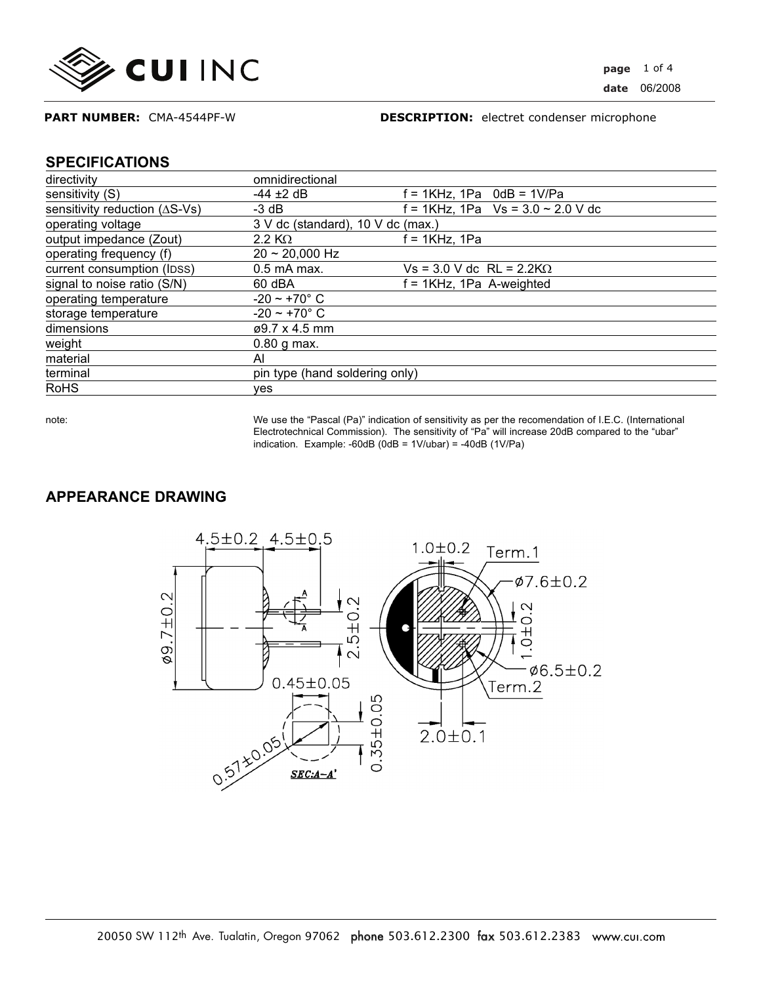

#### **DESCRIPTION:** electret condenser microphone

#### **SPECIFICATIONS**

| directivity                             | omnidirectional                   |                                      |
|-----------------------------------------|-----------------------------------|--------------------------------------|
| sensitivity (S)                         | $-44 \pm 2$ dB                    | $f = 1KHz$ , 1Pa $0dB = 1V/Pa$       |
|                                         |                                   |                                      |
| sensitivity reduction $( \Delta S$ -Vs) | $-3$ dB                           | $f = 1$ KHz, 1Pa Vs = 3.0 ~ 2.0 V dc |
| operating voltage                       | 3 V dc (standard), 10 V dc (max.) |                                      |
| output impedance (Zout)                 | 2.2 K $\Omega$                    | $f = 1$ KHz, 1Pa                     |
| operating frequency (f)                 | $20 \sim 20,000$ Hz               |                                      |
| current consumption (IDSS)              | $0.5$ mA max.                     | $Vs = 3.0 V$ dc RL = 2.2K $\Omega$   |
| signal to noise ratio (S/N)             | $60$ dBA                          | $f = 1KHz$ , 1Pa A-weighted          |
| operating temperature                   | $-20 - +70^{\circ} C$             |                                      |
| storage temperature                     | $-20 - +70^{\circ} C$             |                                      |
| dimensions                              | $\varphi$ 9.7 x 4.5 mm            |                                      |
| weight                                  | $0.80$ g max.                     |                                      |
| material                                | AI                                |                                      |
| terminal                                | pin type (hand soldering only)    |                                      |
| <b>RoHS</b>                             | ves                               |                                      |

note: We use the "Pascal (Pa)" indication of sensitivity as per the recomendation of I.E.C. (International Electrotechnical Commission). The sensitivity of "Pa" will increase 20dB compared to the "ubar" indication. Example: -60dB  $(0dB = 1V/ubar) = -40dB (1V/Pa)$ 

## **APPEARANCE DRAWING**

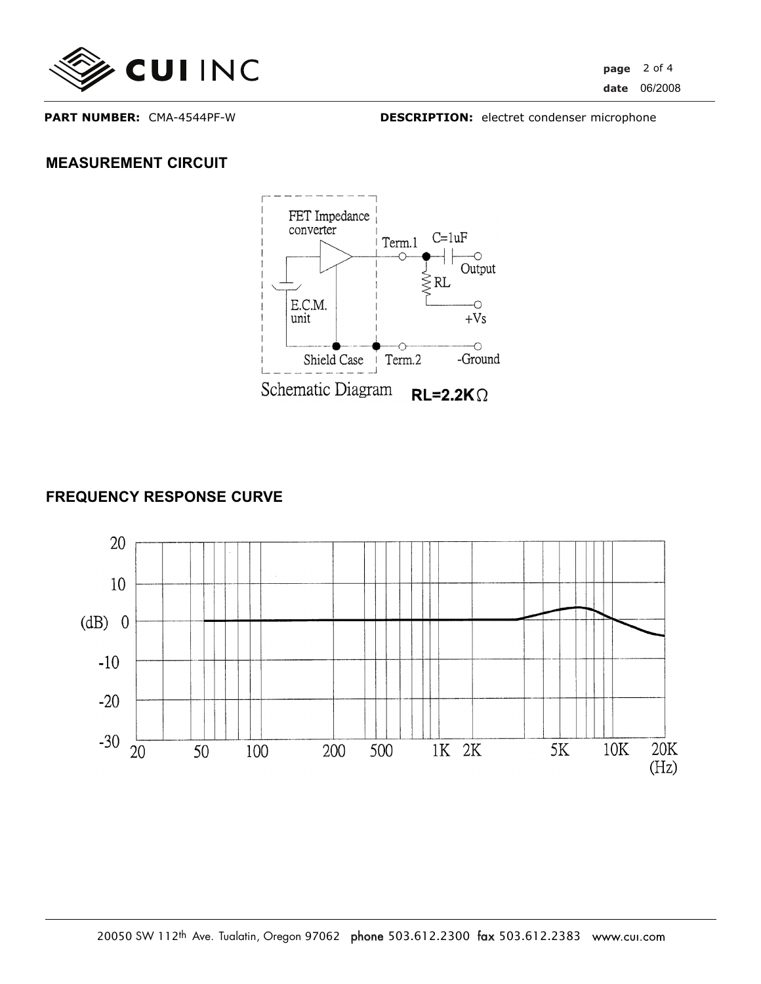

**PART NUMBER:** CMA-4544PF-W

**DESCRIPTION:** electret condenser microphone

# **MEASUREMENT CIRCUIT**



# **FREQUENCY RESPONSE CURVE**

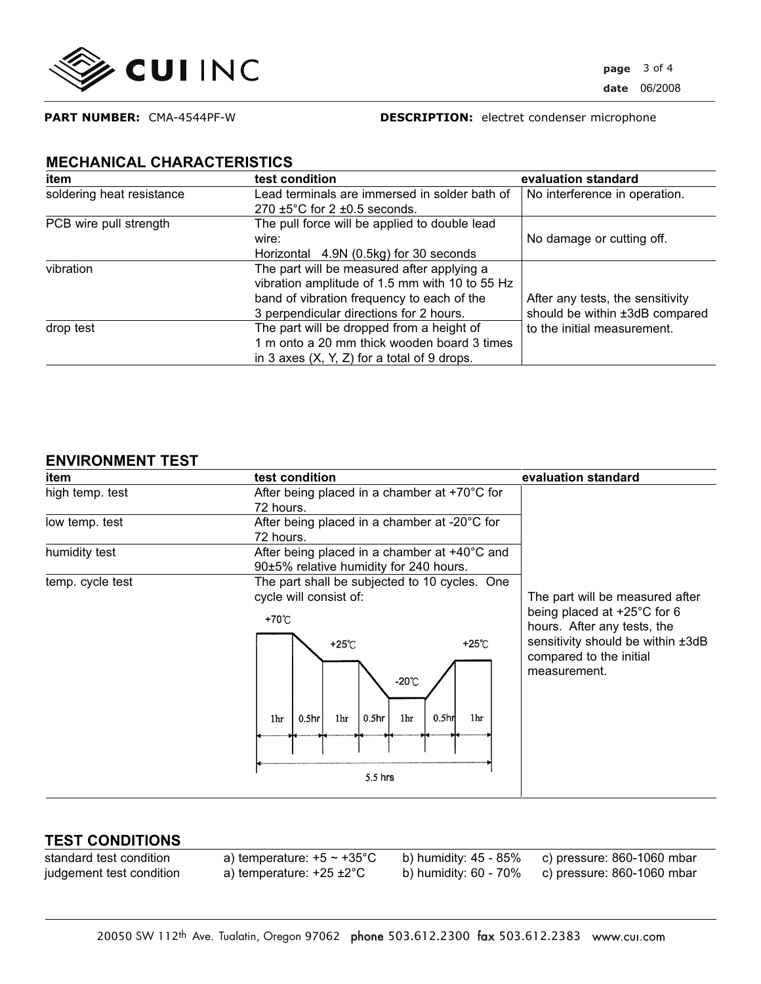

**PART NUMBER:** CMA-4544PF-W

**DESCRIPTION:** electret condenser microphone

## **MECHANICAL CHARACTERISTICS**

| item                      | test condition                                 | evaluation standard              |
|---------------------------|------------------------------------------------|----------------------------------|
| soldering heat resistance | Lead terminals are immersed in solder bath of  | No interference in operation.    |
|                           | 270 $\pm$ 5°C for 2 $\pm$ 0.5 seconds.         |                                  |
| PCB wire pull strength    | The pull force will be applied to double lead  |                                  |
|                           | wire:                                          | No damage or cutting off.        |
|                           | Horizontal 4.9N (0.5kg) for 30 seconds         |                                  |
| vibration                 | The part will be measured after applying a     |                                  |
|                           | vibration amplitude of 1.5 mm with 10 to 55 Hz |                                  |
|                           | band of vibration frequency to each of the     | After any tests, the sensitivity |
|                           | 3 perpendicular directions for 2 hours.        | should be within ±3dB compared   |
| drop test                 | The part will be dropped from a height of      | to the initial measurement.      |
|                           | 1 m onto a 20 mm thick wooden board 3 times    |                                  |
|                           | in 3 axes $(X, Y, Z)$ for a total of 9 drops.  |                                  |

### **ENVIRONMENT TEST**

| item             | test condition                                                                         | evaluation standard                                                                                       |
|------------------|----------------------------------------------------------------------------------------|-----------------------------------------------------------------------------------------------------------|
| high temp. test  | After being placed in a chamber at +70°C for                                           |                                                                                                           |
|                  | 72 hours.                                                                              | The part will be measured after                                                                           |
| low temp. test   | After being placed in a chamber at -20°C for                                           |                                                                                                           |
|                  | 72 hours.                                                                              |                                                                                                           |
| humidity test    | After being placed in a chamber at +40°C and                                           |                                                                                                           |
|                  | 90±5% relative humidity for 240 hours.                                                 |                                                                                                           |
| temp. cycle test | The part shall be subjected to 10 cycles. One                                          |                                                                                                           |
|                  | cycle will consist of:                                                                 |                                                                                                           |
|                  | +70℃<br>+25℃<br>+25℃                                                                   | being placed at $+25^{\circ}$ C for 6<br>hours. After any tests, the<br>sensitivity should be within ±3dB |
|                  | $-20^{\circ}$ C                                                                        | compared to the initial<br>measurement.                                                                   |
|                  | 0.5 <sub>h</sub><br>0.5 <sub>hr</sub><br>0.5 <sub>hr</sub><br>1hr<br>1hr<br>1hr<br>1hr |                                                                                                           |
|                  |                                                                                        |                                                                                                           |
|                  |                                                                                        |                                                                                                           |

### **TEST CONDITIONS**

standard test condition a) temperature:  $+5 \sim +35^{\circ}$ C b) humidity: 45 - 85% c) pressure: 860-1060 mbar<br>judgement test condition a) temperature:  $+25 \pm 2^{\circ}$ C b) humidity: 60 - 70% c) pressure: 860-1060 mbar judgement test condition a) temperature: +25 ±2°C b) humidity: 60 - 70% c) pressure: 860-1060 mbar